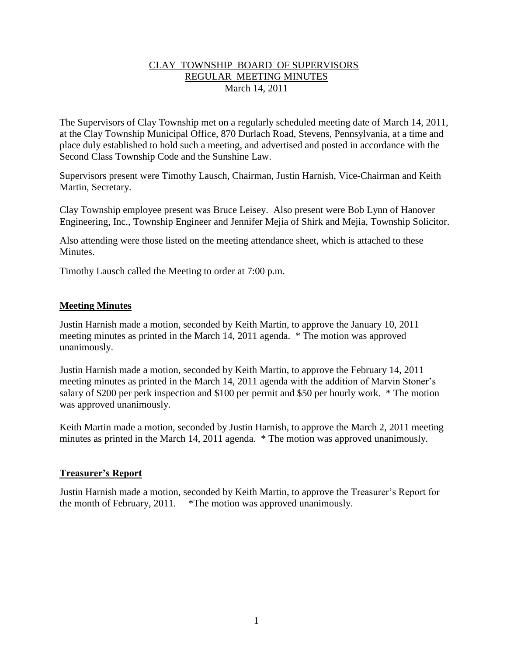#### CLAY TOWNSHIP BOARD OF SUPERVISORS REGULAR MEETING MINUTES March 14, 2011

The Supervisors of Clay Township met on a regularly scheduled meeting date of March 14, 2011, at the Clay Township Municipal Office, 870 Durlach Road, Stevens, Pennsylvania, at a time and place duly established to hold such a meeting, and advertised and posted in accordance with the Second Class Township Code and the Sunshine Law.

Supervisors present were Timothy Lausch, Chairman, Justin Harnish, Vice-Chairman and Keith Martin, Secretary.

Clay Township employee present was Bruce Leisey. Also present were Bob Lynn of Hanover Engineering, Inc., Township Engineer and Jennifer Mejia of Shirk and Mejia, Township Solicitor.

Also attending were those listed on the meeting attendance sheet, which is attached to these Minutes.

Timothy Lausch called the Meeting to order at 7:00 p.m.

#### **Meeting Minutes**

Justin Harnish made a motion, seconded by Keith Martin, to approve the January 10, 2011 meeting minutes as printed in the March 14, 2011 agenda. \* The motion was approved unanimously.

Justin Harnish made a motion, seconded by Keith Martin, to approve the February 14, 2011 meeting minutes as printed in the March 14, 2011 agenda with the addition of Marvin Stoner's salary of \$200 per perk inspection and \$100 per permit and \$50 per hourly work. \* The motion was approved unanimously.

Keith Martin made a motion, seconded by Justin Harnish, to approve the March 2, 2011 meeting minutes as printed in the March 14, 2011 agenda. \* The motion was approved unanimously.

#### **Treasurer's Report**

Justin Harnish made a motion, seconded by Keith Martin, to approve the Treasurer's Report for the month of February, 2011. \*The motion was approved unanimously.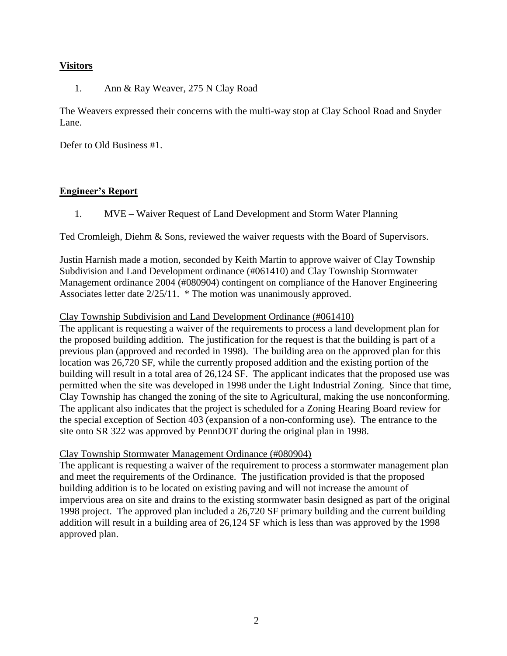# **Visitors**

1. Ann & Ray Weaver, 275 N Clay Road

The Weavers expressed their concerns with the multi-way stop at Clay School Road and Snyder Lane.

Defer to Old Business #1.

# **Engineer's Report**

1. MVE – Waiver Request of Land Development and Storm Water Planning

Ted Cromleigh, Diehm & Sons, reviewed the waiver requests with the Board of Supervisors.

Justin Harnish made a motion, seconded by Keith Martin to approve waiver of Clay Township Subdivision and Land Development ordinance (#061410) and Clay Township Stormwater Management ordinance 2004 (#080904) contingent on compliance of the Hanover Engineering Associates letter date 2/25/11. \* The motion was unanimously approved.

# Clay Township Subdivision and Land Development Ordinance (#061410)

The applicant is requesting a waiver of the requirements to process a land development plan for the proposed building addition. The justification for the request is that the building is part of a previous plan (approved and recorded in 1998). The building area on the approved plan for this location was 26,720 SF, while the currently proposed addition and the existing portion of the building will result in a total area of 26,124 SF. The applicant indicates that the proposed use was permitted when the site was developed in 1998 under the Light Industrial Zoning. Since that time, Clay Township has changed the zoning of the site to Agricultural, making the use nonconforming. The applicant also indicates that the project is scheduled for a Zoning Hearing Board review for the special exception of Section 403 (expansion of a non-conforming use). The entrance to the site onto SR 322 was approved by PennDOT during the original plan in 1998.

# Clay Township Stormwater Management Ordinance (#080904)

The applicant is requesting a waiver of the requirement to process a stormwater management plan and meet the requirements of the Ordinance. The justification provided is that the proposed building addition is to be located on existing paving and will not increase the amount of impervious area on site and drains to the existing stormwater basin designed as part of the original 1998 project. The approved plan included a 26,720 SF primary building and the current building addition will result in a building area of 26,124 SF which is less than was approved by the 1998 approved plan.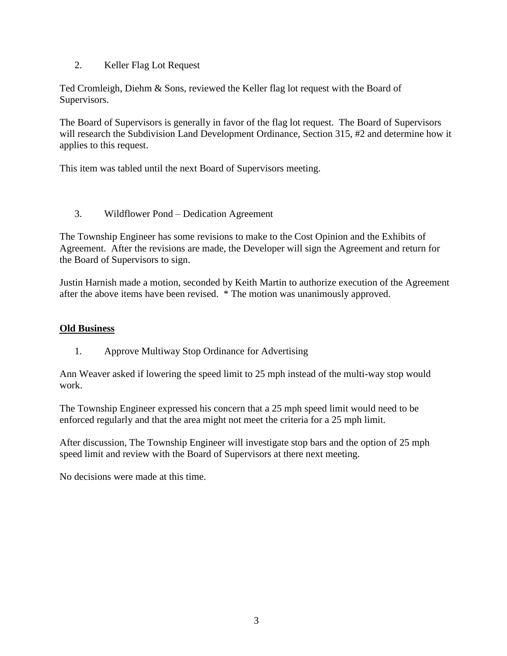# 2. Keller Flag Lot Request

Ted Cromleigh, Diehm & Sons, reviewed the Keller flag lot request with the Board of Supervisors.

The Board of Supervisors is generally in favor of the flag lot request. The Board of Supervisors will research the Subdivision Land Development Ordinance, Section 315, #2 and determine how it applies to this request.

This item was tabled until the next Board of Supervisors meeting.

# 3. Wildflower Pond – Dedication Agreement

The Township Engineer has some revisions to make to the Cost Opinion and the Exhibits of Agreement. After the revisions are made, the Developer will sign the Agreement and return for the Board of Supervisors to sign.

Justin Harnish made a motion, seconded by Keith Martin to authorize execution of the Agreement after the above items have been revised. \* The motion was unanimously approved.

#### **Old Business**

1. Approve Multiway Stop Ordinance for Advertising

Ann Weaver asked if lowering the speed limit to 25 mph instead of the multi-way stop would work.

The Township Engineer expressed his concern that a 25 mph speed limit would need to be enforced regularly and that the area might not meet the criteria for a 25 mph limit.

After discussion, The Township Engineer will investigate stop bars and the option of 25 mph speed limit and review with the Board of Supervisors at there next meeting.

No decisions were made at this time.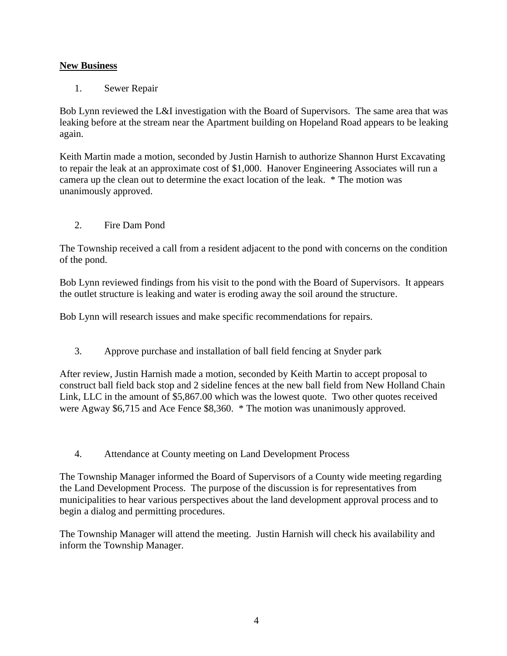# **New Business**

1. Sewer Repair

Bob Lynn reviewed the L&I investigation with the Board of Supervisors. The same area that was leaking before at the stream near the Apartment building on Hopeland Road appears to be leaking again.

Keith Martin made a motion, seconded by Justin Harnish to authorize Shannon Hurst Excavating to repair the leak at an approximate cost of \$1,000. Hanover Engineering Associates will run a camera up the clean out to determine the exact location of the leak. \* The motion was unanimously approved.

2. Fire Dam Pond

The Township received a call from a resident adjacent to the pond with concerns on the condition of the pond.

Bob Lynn reviewed findings from his visit to the pond with the Board of Supervisors. It appears the outlet structure is leaking and water is eroding away the soil around the structure.

Bob Lynn will research issues and make specific recommendations for repairs.

3. Approve purchase and installation of ball field fencing at Snyder park

After review, Justin Harnish made a motion, seconded by Keith Martin to accept proposal to construct ball field back stop and 2 sideline fences at the new ball field from New Holland Chain Link, LLC in the amount of \$5,867.00 which was the lowest quote. Two other quotes received were Agway \$6,715 and Ace Fence \$8,360. \* The motion was unanimously approved.

4. Attendance at County meeting on Land Development Process

The Township Manager informed the Board of Supervisors of a County wide meeting regarding the Land Development Process. The purpose of the discussion is for representatives from municipalities to hear various perspectives about the land development approval process and to begin a dialog and permitting procedures.

The Township Manager will attend the meeting. Justin Harnish will check his availability and inform the Township Manager.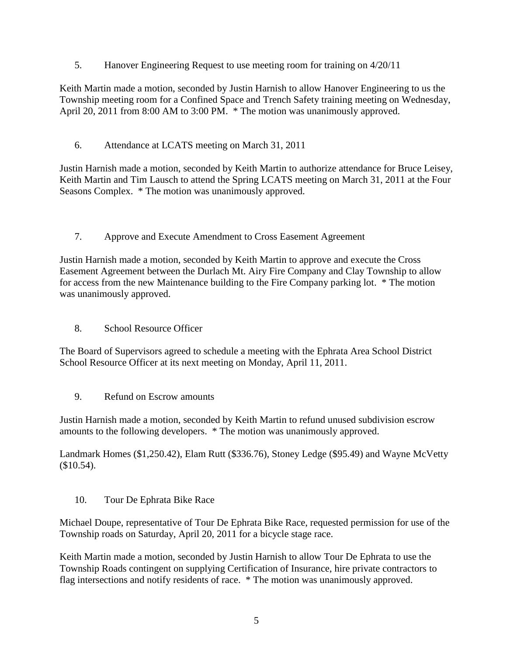5. Hanover Engineering Request to use meeting room for training on 4/20/11

Keith Martin made a motion, seconded by Justin Harnish to allow Hanover Engineering to us the Township meeting room for a Confined Space and Trench Safety training meeting on Wednesday, April 20, 2011 from 8:00 AM to 3:00 PM.  $*$  The motion was unanimously approved.

6. Attendance at LCATS meeting on March 31, 2011

Justin Harnish made a motion, seconded by Keith Martin to authorize attendance for Bruce Leisey, Keith Martin and Tim Lausch to attend the Spring LCATS meeting on March 31, 2011 at the Four Seasons Complex. \* The motion was unanimously approved.

7. Approve and Execute Amendment to Cross Easement Agreement

Justin Harnish made a motion, seconded by Keith Martin to approve and execute the Cross Easement Agreement between the Durlach Mt. Airy Fire Company and Clay Township to allow for access from the new Maintenance building to the Fire Company parking lot. \* The motion was unanimously approved.

8. School Resource Officer

The Board of Supervisors agreed to schedule a meeting with the Ephrata Area School District School Resource Officer at its next meeting on Monday, April 11, 2011.

9. Refund on Escrow amounts

Justin Harnish made a motion, seconded by Keith Martin to refund unused subdivision escrow amounts to the following developers. \* The motion was unanimously approved.

Landmark Homes (\$1,250.42), Elam Rutt (\$336.76), Stoney Ledge (\$95.49) and Wayne McVetty (\$10.54).

10. Tour De Ephrata Bike Race

Michael Doupe, representative of Tour De Ephrata Bike Race, requested permission for use of the Township roads on Saturday, April 20, 2011 for a bicycle stage race.

Keith Martin made a motion, seconded by Justin Harnish to allow Tour De Ephrata to use the Township Roads contingent on supplying Certification of Insurance, hire private contractors to flag intersections and notify residents of race. \* The motion was unanimously approved.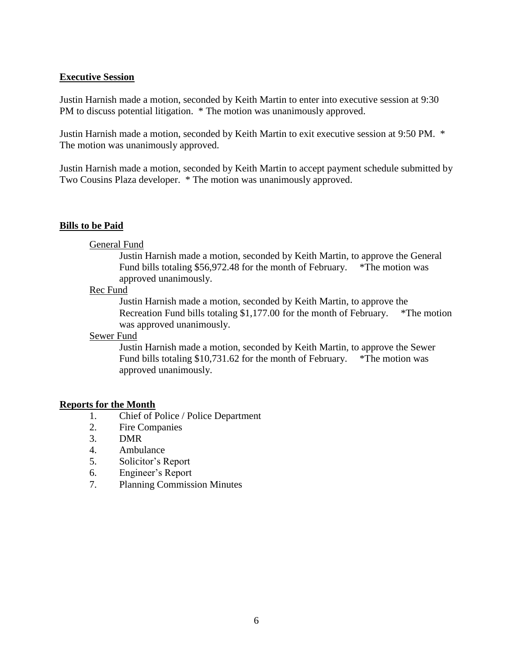#### **Executive Session**

Justin Harnish made a motion, seconded by Keith Martin to enter into executive session at 9:30 PM to discuss potential litigation. \* The motion was unanimously approved.

Justin Harnish made a motion, seconded by Keith Martin to exit executive session at 9:50 PM. \* The motion was unanimously approved.

Justin Harnish made a motion, seconded by Keith Martin to accept payment schedule submitted by Two Cousins Plaza developer. \* The motion was unanimously approved.

#### **Bills to be Paid**

#### General Fund

Justin Harnish made a motion, seconded by Keith Martin, to approve the General Fund bills totaling \$56,972.48 for the month of February. \*The motion was approved unanimously.

#### Rec Fund

Justin Harnish made a motion, seconded by Keith Martin, to approve the Recreation Fund bills totaling \$1,177.00 for the month of February. \*The motion was approved unanimously.

#### Sewer Fund

Justin Harnish made a motion, seconded by Keith Martin, to approve the Sewer Fund bills totaling \$10,731.62 for the month of February. \*The motion was approved unanimously.

#### **Reports for the Month**

- 1. Chief of Police / Police Department
- 2. Fire Companies
- 3. DMR
- 4. Ambulance
- 5. Solicitor's Report
- 6. Engineer's Report
- 7. Planning Commission Minutes